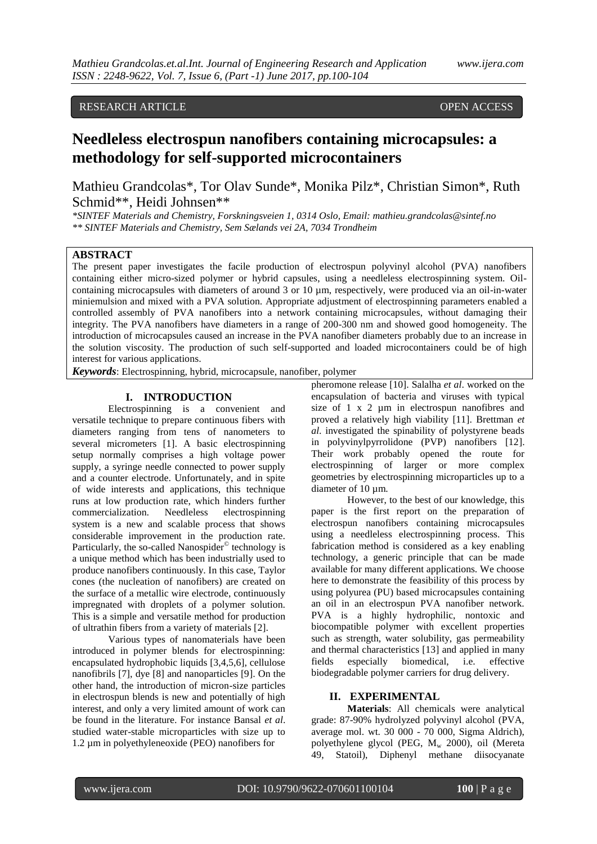## RESEARCH ARTICLE **CONSERVERS** OPEN ACCESS

# **Needleless electrospun nanofibers containing microcapsules: a methodology for self-supported microcontainers**

Mathieu Grandcolas\*, Tor Olav Sunde\*, Monika Pilz\*, Christian Simon\*, Ruth Schmid\*\*, Heidi Johnsen\*\*

*\*SINTEF Materials and Chemistry, Forskningsveien 1, 0314 Oslo, Email: mathieu.grandcolas@sintef.no \*\* SINTEF Materials and Chemistry, Sem Sælands vei 2A, 7034 Trondheim*

### **ABSTRACT**

The present paper investigates the facile production of electrospun polyvinyl alcohol (PVA) nanofibers containing either micro-sized polymer or hybrid capsules, using a needleless electrospinning system. Oilcontaining microcapsules with diameters of around 3 or 10 µm, respectively, were produced via an oil-in-water miniemulsion and mixed with a PVA solution. Appropriate adjustment of electrospinning parameters enabled a controlled assembly of PVA nanofibers into a network containing microcapsules, without damaging their integrity. The PVA nanofibers have diameters in a range of 200-300 nm and showed good homogeneity. The introduction of microcapsules caused an increase in the PVA nanofiber diameters probably due to an increase in the solution viscosity. The production of such self-supported and loaded microcontainers could be of high interest for various applications.

*Keywords*: Electrospinning, hybrid, microcapsule, nanofiber, polymer

#### **I. INTRODUCTION**

Electrospinning is a convenient and versatile technique to prepare continuous fibers with diameters ranging from tens of nanometers to several micrometers [1]. A basic electrospinning setup normally comprises a high voltage power supply, a syringe needle connected to power supply and a counter electrode. Unfortunately, and in spite of wide interests and applications, this technique runs at low production rate, which hinders further commercialization. Needleless electrospinning system is a new and scalable process that shows considerable improvement in the production rate. Particularly, the so-called Nanospider<sup>©</sup> technology is a unique method which has been industrially used to produce nanofibers continuously. In this case, Taylor cones (the nucleation of nanofibers) are created on the surface of a metallic wire electrode, continuously impregnated with droplets of a polymer solution. This is a simple and versatile method for production of ultrathin fibers from a variety of materials [2].

Various types of nanomaterials have been introduced in polymer blends for electrospinning: encapsulated hydrophobic liquids [3,4,5,6], cellulose nanofibrils [7], dye [8] and nanoparticles [9]. On the other hand, the introduction of micron-size particles in electrospun blends is new and potentially of high interest, and only a very limited amount of work can be found in the literature. For instance Bansal *et al*. studied water-stable microparticles with size up to 1.2 µm in polyethyleneoxide (PEO) nanofibers for

pheromone release [10]. Salalha *et al*. worked on the encapsulation of bacteria and viruses with typical size of 1 x 2 µm in electrospun nanofibres and proved a relatively high viability [11]. Brettman *et al*. investigated the spinability of polystyrene beads in polyvinylpyrrolidone (PVP) nanofibers [12]. Their work probably opened the route for electrospinning of larger or more complex geometries by electrospinning microparticles up to a diameter of 10  $\mu$ m.

However, to the best of our knowledge, this paper is the first report on the preparation of electrospun nanofibers containing microcapsules using a needleless electrospinning process. This fabrication method is considered as a key enabling technology, a generic principle that can be made available for many different applications. We choose here to demonstrate the feasibility of this process by using polyurea (PU) based microcapsules containing an oil in an electrospun PVA nanofiber network. PVA is a highly hydrophilic, nontoxic and biocompatible polymer with excellent properties such as strength, water solubility, gas permeability and thermal characteristics [13] and applied in many fields especially biomedical, i.e. effective biodegradable polymer carriers for drug delivery.

#### **II. EXPERIMENTAL**

**Materials**: All chemicals were analytical grade: 87-90% hydrolyzed polyvinyl alcohol (PVA, average mol. wt. 30 000 - 70 000, Sigma Aldrich), polyethylene glycol (PEG,  $M_w$  2000), oil (Mereta 49, Statoil), Diphenyl methane diisocyanate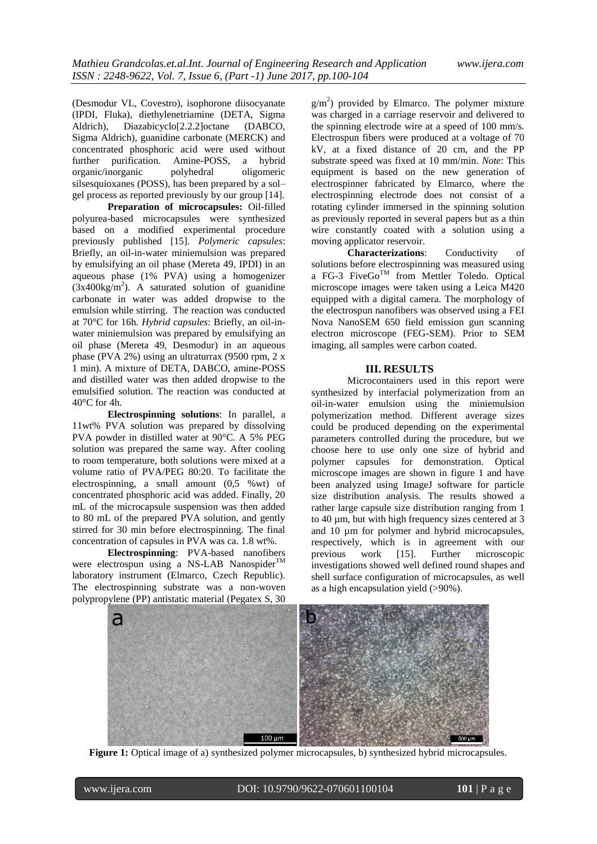(Desmodur VL, Covestro), isophorone diisocyanate (IPDI, Fluka), diethylenetriamine (DETA, Sigma Aldrich), Diazabicyclo[2.2.2]octane (DABCO, Sigma Aldrich), guanidine carbonate (MERCK) and concentrated phosphoric acid were used without further purification. Amine-POSS, a hybrid organic/inorganic polyhedral oligomeric silsesquioxanes (POSS), has been prepared by a sol– gel process as reported previously by our group [14].

**Preparation of microcapsules:** Oil-filled polyurea-based microcapsules were synthesized based on a modified experimental procedure previously published [15]. *Polymeric capsules*: Briefly, an oil-in-water miniemulsion was prepared by emulsifying an oil phase (Mereta 49, IPDI) in an aqueous phase (1% PVA) using a homogenizer  $(3x400\text{kg/m}^2)$ . A saturated solution of guanidine carbonate in water was added dropwise to the emulsion while stirring. The reaction was conducted at 70°C for 16h. *Hybrid capsules*: Briefly, an oil-inwater miniemulsion was prepared by emulsifying an oil phase (Mereta 49, Desmodur) in an aqueous phase (PVA 2%) using an ultraturrax (9500 rpm, 2 x 1 min). A mixture of DETA, DABCO, amine-POSS and distilled water was then added dropwise to the emulsified solution. The reaction was conducted at  $40^{\circ}$ C for 4h.

**Electrospinning solutions**: In parallel, a 11wt% PVA solution was prepared by dissolving PVA powder in distilled water at 90°C. A 5% PEG solution was prepared the same way. After cooling to room temperature, both solutions were mixed at a volume ratio of PVA/PEG 80:20. To facilitate the electrospinning, a small amount (0,5 %wt) of concentrated phosphoric acid was added. Finally, 20 mL of the microcapsule suspension was then added to 80 mL of the prepared PVA solution, and gently stirred for 30 min before electrospinning. The final concentration of capsules in PVA was ca. 1.8 wt%.

**Electrospinning**: PVA-based nanofibers were electrospun using a NS-LAB Nanospider<sup>TM</sup> laboratory instrument (Elmarco, Czech Republic). The electrospinning substrate was a non-woven polypropylene (PP) antistatic material (Pegatex S, 30

 $g/m<sup>2</sup>$ ) provided by Elmarco. The polymer mixture was charged in a carriage reservoir and delivered to the spinning electrode wire at a speed of 100 mm/s. Electrospun fibers were produced at a voltage of 70 kV, at a fixed distance of 20 cm, and the PP substrate speed was fixed at 10 mm/min. *Note*: This equipment is based on the new generation of electrospinner fabricated by Elmarco, where the electrospinning electrode does not consist of a rotating cylinder immersed in the spinning solution as previously reported in several papers but as a thin wire constantly coated with a solution using a moving applicator reservoir.

**Characterizations**: Conductivity of solutions before electrospinning was measured using a FG-3 FiveGo<sup>TM</sup> from Mettler Toledo. Optical microscope images were taken using a Leica M420 equipped with a digital camera. The morphology of the electrospun nanofibers was observed using a FEI Nova NanoSEM 650 field emission gun scanning electron microscope (FEG-SEM). Prior to SEM imaging, all samples were carbon coated.

#### **III. RESULTS**

Microcontainers used in this report were synthesized by interfacial polymerization from an oil-in-water emulsion using the miniemulsion polymerization method. Different average sizes could be produced depending on the experimental parameters controlled during the procedure, but we choose here to use only one size of hybrid and polymer capsules for demonstration. Optical microscope images are shown in figure 1 and have been analyzed using ImageJ software for particle size distribution analysis. The results showed a rather large capsule size distribution ranging from 1 to 40 µm, but with high frequency sizes centered at 3 and 10  $\mu$ m for polymer and hybrid microcapsules, respectively, which is in agreement with our previous work [15]. Further microscopic investigations showed well defined round shapes and shell surface configuration of microcapsules, as well as a high encapsulation yield (>90%).



**Figure 1:** Optical image of a) synthesized polymer microcapsules, b) synthesized hybrid microcapsules.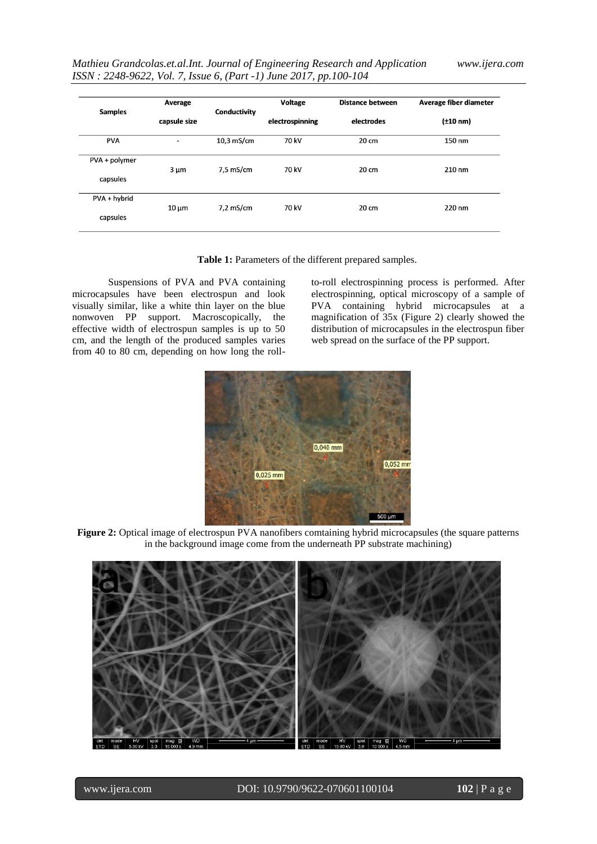| <b>Samples</b> | Average      | Conductivity | <b>Voltage</b><br>electrospinning | <b>Distance between</b><br>electrodes | Average fiber diameter<br>$(\pm 10 \text{ nm})$ |
|----------------|--------------|--------------|-----------------------------------|---------------------------------------|-------------------------------------------------|
|                | capsule size |              |                                   |                                       |                                                 |
| <b>PVA</b>     | -            | 10,3 mS/cm   | 70 kV                             | 20 cm                                 | 150 nm                                          |
| PVA + polymer  | $3 \mu m$    | 7,5 mS/cm    | 70 kV                             | 20 cm                                 | $210 \text{ nm}$                                |
| capsules       |              |              |                                   |                                       |                                                 |
| PVA + hybrid   |              |              |                                   |                                       |                                                 |
| capsules       | $10 \mu m$   | $7,2$ mS/cm  | 70 kV                             | 20 cm                                 | 220 nm                                          |

**Table 1:** Parameters of the different prepared samples.

Suspensions of PVA and PVA containing microcapsules have been electrospun and look visually similar, like a white thin layer on the blue nonwoven PP support. Macroscopically, the effective width of electrospun samples is up to 50 cm, and the length of the produced samples varies from 40 to 80 cm, depending on how long the rollto-roll electrospinning process is performed. After electrospinning, optical microscopy of a sample of PVA containing hybrid microcapsules at a magnification of 35x (Figure 2) clearly showed the distribution of microcapsules in the electrospun fiber web spread on the surface of the PP support.



**Figure 2:** Optical image of electrospun PVA nanofibers comtaining hybrid microcapsules (the square patterns in the background image come from the underneath PP substrate machining)

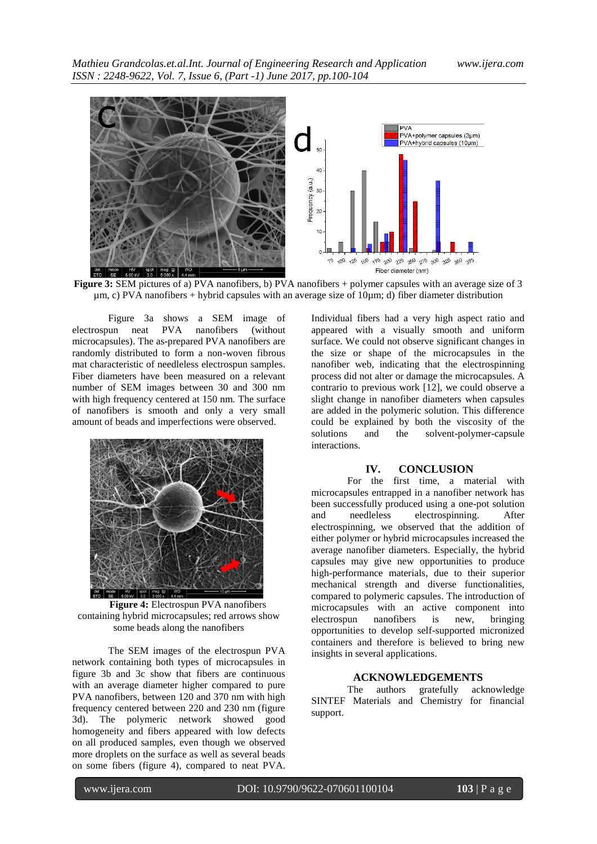

**Figure 3:** SEM pictures of a) PVA nanofibers, b) PVA nanofibers + polymer capsules with an average size of 3 µm, c) PVA nanofibers + hybrid capsules with an average size of 10µm; d) fiber diameter distribution

Figure 3a shows a SEM image of electrospun neat PVA nanofibers (without microcapsules). The as-prepared PVA nanofibers are randomly distributed to form a non-woven fibrous mat characteristic of needleless electrospun samples. Fiber diameters have been measured on a relevant number of SEM images between 30 and 300 nm with high frequency centered at 150 nm. The surface of nanofibers is smooth and only a very small amount of beads and imperfections were observed.



**Figure 4:** Electrospun PVA nanofibers containing hybrid microcapsules; red arrows show some beads along the nanofibers

The SEM images of the electrospun PVA network containing both types of microcapsules in figure 3b and 3c show that fibers are continuous with an average diameter higher compared to pure PVA nanofibers, between 120 and 370 nm with high frequency centered between 220 and 230 nm (figure 3d). The polymeric network showed good homogeneity and fibers appeared with low defects on all produced samples, even though we observed more droplets on the surface as well as several beads on some fibers (figure 4), compared to neat PVA.

Individual fibers had a very high aspect ratio and appeared with a visually smooth and uniform surface. We could not observe significant changes in the size or shape of the microcapsules in the nanofiber web, indicating that the electrospinning process did not alter or damage the microcapsules. A contrario to previous work [12], we could observe a slight change in nanofiber diameters when capsules are added in the polymeric solution. This difference could be explained by both the viscosity of the solutions and the solvent-polymer-capsule and the solvent-polymer-capsule interactions.

#### **IV. CONCLUSION**

For the first time, a material with microcapsules entrapped in a nanofiber network has been successfully produced using a one-pot solution<br>and produced electrospinning. After and needleless electrospinning. After electrospinning, we observed that the addition of either polymer or hybrid microcapsules increased the average nanofiber diameters. Especially, the hybrid capsules may give new opportunities to produce high-performance materials, due to their superior mechanical strength and diverse functionalities, compared to polymeric capsules. The introduction of microcapsules with an active component into electrospun nanofibers is new, bringing opportunities to develop self-supported micronized containers and therefore is believed to bring new insights in several applications.

#### **ACKNOWLEDGEMENTS**

The authors gratefully acknowledge SINTEF Materials and Chemistry for financial support.